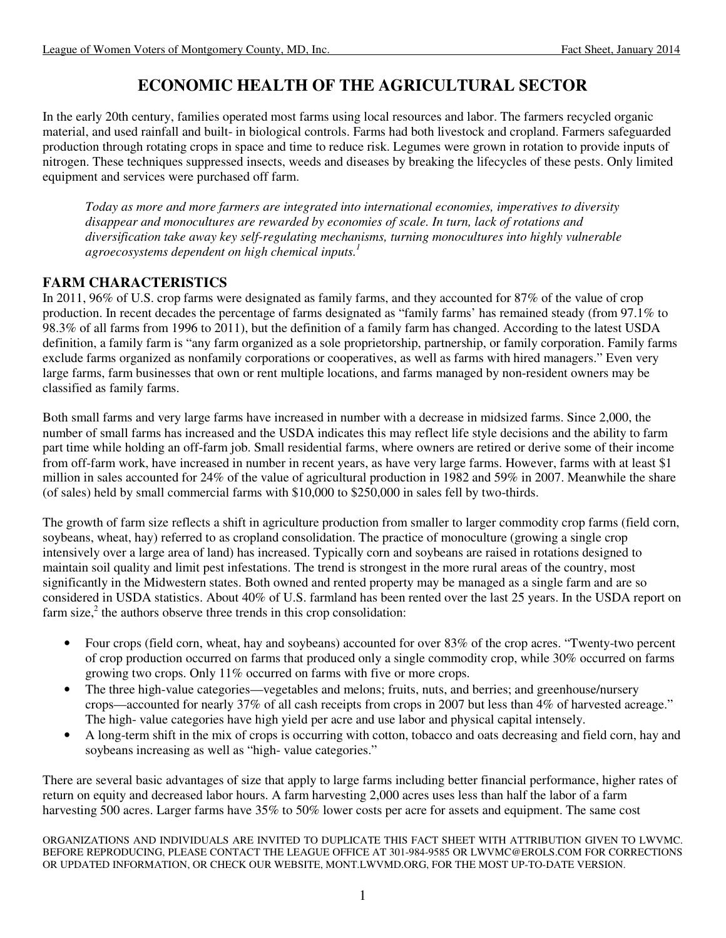# **ECONOMIC HEALTH OF THE AGRICULTURAL SECTOR**

In the early 20th century, families operated most farms using local resources and labor. The farmers recycled organic material, and used rainfall and built- in biological controls. Farms had both livestock and cropland. Farmers safeguarded production through rotating crops in space and time to reduce risk. Legumes were grown in rotation to provide inputs of nitrogen. These techniques suppressed insects, weeds and diseases by breaking the lifecycles of these pests. Only limited equipment and services were purchased off farm.

*Today as more and more farmers are integrated into international economies, imperatives to diversity disappear and monocultures are rewarded by economies of scale. In turn, lack of rotations and diversification take away key self-regulating mechanisms, turning monocultures into highly vulnerable agroecosystems dependent on high chemical inputs.1*

### **FARM CHARACTERISTICS**

In 2011, 96% of U.S. crop farms were designated as family farms, and they accounted for 87% of the value of crop production. In recent decades the percentage of farms designated as "family farms' has remained steady (from 97.1% to 98.3% of all farms from 1996 to 2011), but the definition of a family farm has changed. According to the latest USDA definition, a family farm is "any farm organized as a sole proprietorship, partnership, or family corporation. Family farms exclude farms organized as nonfamily corporations or cooperatives, as well as farms with hired managers." Even very large farms, farm businesses that own or rent multiple locations, and farms managed by non-resident owners may be classified as family farms.

Both small farms and very large farms have increased in number with a decrease in midsized farms. Since 2,000, the number of small farms has increased and the USDA indicates this may reflect life style decisions and the ability to farm part time while holding an off-farm job. Small residential farms, where owners are retired or derive some of their income from off-farm work, have increased in number in recent years, as have very large farms. However, farms with at least \$1 million in sales accounted for 24% of the value of agricultural production in 1982 and 59% in 2007. Meanwhile the share (of sales) held by small commercial farms with \$10,000 to \$250,000 in sales fell by two-thirds.

The growth of farm size reflects a shift in agriculture production from smaller to larger commodity crop farms (field corn, soybeans, wheat, hay) referred to as cropland consolidation. The practice of monoculture (growing a single crop intensively over a large area of land) has increased. Typically corn and soybeans are raised in rotations designed to maintain soil quality and limit pest infestations. The trend is strongest in the more rural areas of the country, most significantly in the Midwestern states. Both owned and rented property may be managed as a single farm and are so considered in USDA statistics. About 40% of U.S. farmland has been rented over the last 25 years. In the USDA report on farm size, $2$  the authors observe three trends in this crop consolidation:

- Four crops (field corn, wheat, hay and soybeans) accounted for over 83% of the crop acres. "Twenty-two percent of crop production occurred on farms that produced only a single commodity crop, while 30% occurred on farms growing two crops. Only 11% occurred on farms with five or more crops.
- The three high-value categories—vegetables and melons; fruits, nuts, and berries; and greenhouse/nursery crops—accounted for nearly 37% of all cash receipts from crops in 2007 but less than 4% of harvested acreage." The high- value categories have high yield per acre and use labor and physical capital intensely.
- A long-term shift in the mix of crops is occurring with cotton, tobacco and oats decreasing and field corn, hay and soybeans increasing as well as "high- value categories."

There are several basic advantages of size that apply to large farms including better financial performance, higher rates of return on equity and decreased labor hours. A farm harvesting 2,000 acres uses less than half the labor of a farm harvesting 500 acres. Larger farms have 35% to 50% lower costs per acre for assets and equipment. The same cost

ORGANIZATIONS AND INDIVIDUALS ARE INVITED TO DUPLICATE THIS FACT SHEET WITH ATTRIBUTION GIVEN TO LWVMC. BEFORE REPRODUCING, PLEASE CONTACT THE LEAGUE OFFICE AT 301-984-9585 OR LWVMC@EROLS.COM FOR CORRECTIONS OR UPDATED INFORMATION, OR CHECK OUR WEBSITE, MONT.LWVMD.ORG, FOR THE MOST UP-TO-DATE VERSION.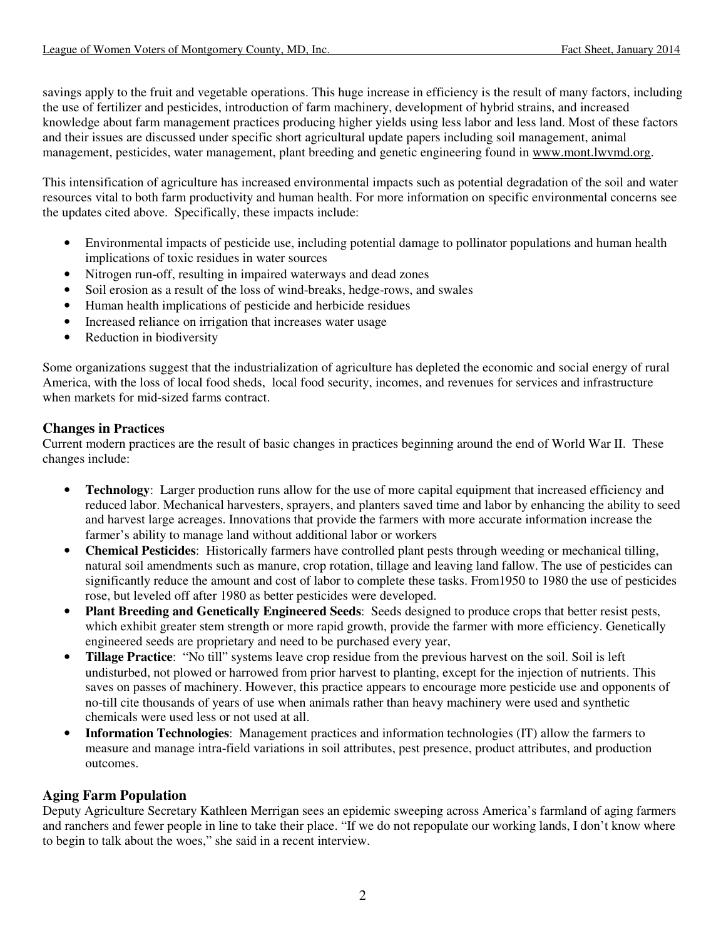savings apply to the fruit and vegetable operations. This huge increase in efficiency is the result of many factors, including the use of fertilizer and pesticides, introduction of farm machinery, development of hybrid strains, and increased knowledge about farm management practices producing higher yields using less labor and less land. Most of these factors and their issues are discussed under specific short agricultural update papers including soil management, animal management, pesticides, water management, plant breeding and genetic engineering found in www.mont.lwvmd.org.

This intensification of agriculture has increased environmental impacts such as potential degradation of the soil and water resources vital to both farm productivity and human health. For more information on specific environmental concerns see the updates cited above. Specifically, these impacts include:

- Environmental impacts of pesticide use, including potential damage to pollinator populations and human health implications of toxic residues in water sources
- Nitrogen run-off, resulting in impaired waterways and dead zones
- Soil erosion as a result of the loss of wind-breaks, hedge-rows, and swales
- Human health implications of pesticide and herbicide residues
- Increased reliance on irrigation that increases water usage
- Reduction in biodiversity

Some organizations suggest that the industrialization of agriculture has depleted the economic and social energy of rural America, with the loss of local food sheds, local food security, incomes, and revenues for services and infrastructure when markets for mid-sized farms contract.

#### **Changes in Practices**

Current modern practices are the result of basic changes in practices beginning around the end of World War II. These changes include:

- **Technology:** Larger production runs allow for the use of more capital equipment that increased efficiency and reduced labor. Mechanical harvesters, sprayers, and planters saved time and labor by enhancing the ability to seed and harvest large acreages. Innovations that provide the farmers with more accurate information increase the farmer's ability to manage land without additional labor or workers
- **Chemical Pesticides**: Historically farmers have controlled plant pests through weeding or mechanical tilling, natural soil amendments such as manure, crop rotation, tillage and leaving land fallow. The use of pesticides can significantly reduce the amount and cost of labor to complete these tasks. From1950 to 1980 the use of pesticides rose, but leveled off after 1980 as better pesticides were developed.
- **Plant Breeding and Genetically Engineered Seeds**: Seeds designed to produce crops that better resist pests, which exhibit greater stem strength or more rapid growth, provide the farmer with more efficiency. Genetically engineered seeds are proprietary and need to be purchased every year,
- **Tillage Practice**: "No till" systems leave crop residue from the previous harvest on the soil. Soil is left undisturbed, not plowed or harrowed from prior harvest to planting, except for the injection of nutrients. This saves on passes of machinery. However, this practice appears to encourage more pesticide use and opponents of no-till cite thousands of years of use when animals rather than heavy machinery were used and synthetic chemicals were used less or not used at all.
- **Information Technologies**: Management practices and information technologies (IT) allow the farmers to measure and manage intra-field variations in soil attributes, pest presence, product attributes, and production outcomes.

# **Aging Farm Population**

Deputy Agriculture Secretary Kathleen Merrigan sees an epidemic sweeping across America's farmland of aging farmers and ranchers and fewer people in line to take their place. "If we do not repopulate our working lands, I don't know where to begin to talk about the woes," she said in a recent interview.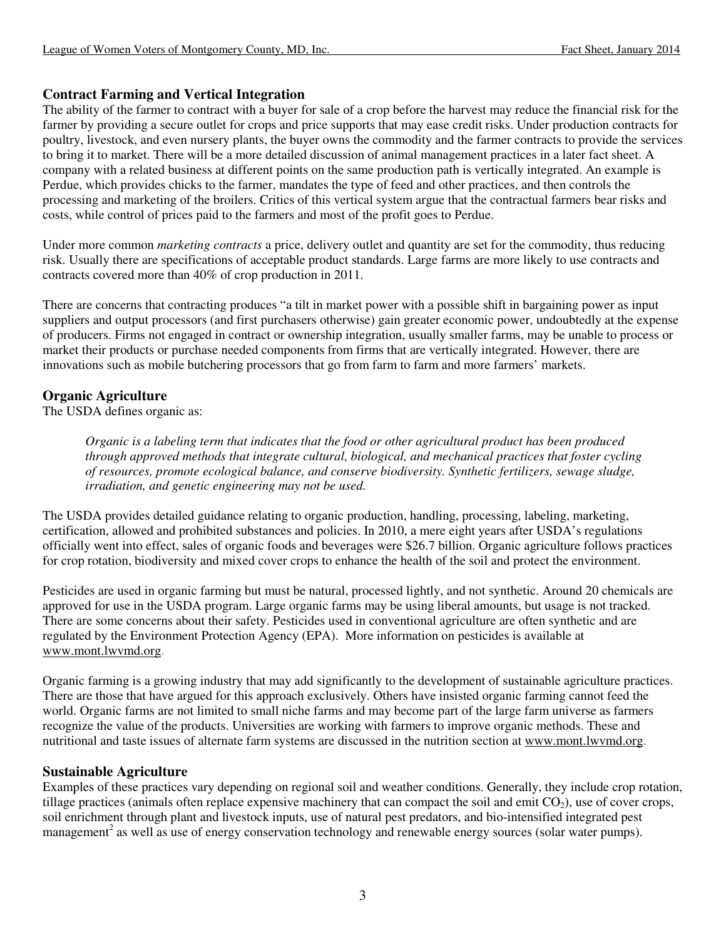### **Contract Farming and Vertical Integration**

The ability of the farmer to contract with a buyer for sale of a crop before the harvest may reduce the financial risk for the farmer by providing a secure outlet for crops and price supports that may ease credit risks. Under production contracts for poultry, livestock, and even nursery plants, the buyer owns the commodity and the farmer contracts to provide the services to bring it to market. There will be a more detailed discussion of animal management practices in a later fact sheet. A company with a related business at different points on the same production path is vertically integrated. An example is Perdue, which provides chicks to the farmer, mandates the type of feed and other practices, and then controls the processing and marketing of the broilers. Critics of this vertical system argue that the contractual farmers bear risks and costs, while control of prices paid to the farmers and most of the profit goes to Perdue.

Under more common *marketing contracts* a price, delivery outlet and quantity are set for the commodity, thus reducing risk. Usually there are specifications of acceptable product standards. Large farms are more likely to use contracts and contracts covered more than 40% of crop production in 2011.

There are concerns that contracting produces "a tilt in market power with a possible shift in bargaining power as input suppliers and output processors (and first purchasers otherwise) gain greater economic power, undoubtedly at the expense of producers. Firms not engaged in contract or ownership integration, usually smaller farms, may be unable to process or market their products or purchase needed components from firms that are vertically integrated. However, there are innovations such as mobile butchering processors that go from farm to farm and more farmers' markets.

# **Organic Agriculture**

The USDA defines organic as:

*Organic is a labeling term that indicates that the food or other agricultural product has been produced through approved methods that integrate cultural, biological, and mechanical practices that foster cycling of resources, promote ecological balance, and conserve biodiversity. Synthetic fertilizers, sewage sludge, irradiation, and genetic engineering may not be used.* 

The USDA provides detailed guidance relating to organic production, handling, processing, labeling, marketing, certification, allowed and prohibited substances and policies. In 2010, a mere eight years after USDA's regulations officially went into effect, sales of organic foods and beverages were \$26.7 billion. Organic agriculture follows practices for crop rotation, biodiversity and mixed cover crops to enhance the health of the soil and protect the environment.

Pesticides are used in organic farming but must be natural, processed lightly, and not synthetic. Around 20 chemicals are approved for use in the USDA program. Large organic farms may be using liberal amounts, but usage is not tracked. There are some concerns about their safety. Pesticides used in conventional agriculture are often synthetic and are regulated by the Environment Protection Agency (EPA). More information on pesticides is available at www.mont.lwvmd.org.

Organic farming is a growing industry that may add significantly to the development of sustainable agriculture practices. There are those that have argued for this approach exclusively. Others have insisted organic farming cannot feed the world. Organic farms are not limited to small niche farms and may become part of the large farm universe as farmers recognize the value of the products. Universities are working with farmers to improve organic methods. These and nutritional and taste issues of alternate farm systems are discussed in the nutrition section at www.mont.lwvmd.org.

#### **Sustainable Agriculture**

Examples of these practices vary depending on regional soil and weather conditions. Generally, they include crop rotation, tillage practices (animals often replace expensive machinery that can compact the soil and emit  $CO<sub>2</sub>$ ), use of cover crops, soil enrichment through plant and livestock inputs, use of natural pest predators, and bio-intensified integrated pest management<sup>2</sup> as well as use of energy conservation technology and renewable energy sources (solar water pumps).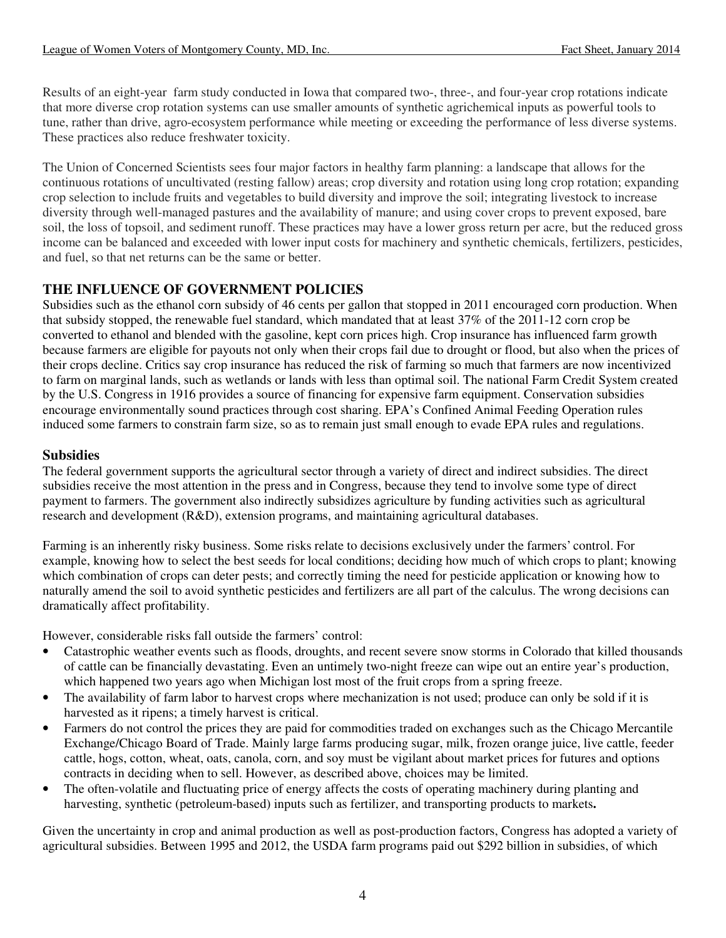Results of an eight-year farm study conducted in Iowa that compared two-, three-, and four-year crop rotations indicate that more diverse crop rotation systems can use smaller amounts of synthetic agrichemical inputs as powerful tools to tune, rather than drive, agro-ecosystem performance while meeting or exceeding the performance of less diverse systems. These practices also reduce freshwater toxicity.

The Union of Concerned Scientists sees four major factors in healthy farm planning: a landscape that allows for the continuous rotations of uncultivated (resting fallow) areas; crop diversity and rotation using long crop rotation; expanding crop selection to include fruits and vegetables to build diversity and improve the soil; integrating livestock to increase diversity through well-managed pastures and the availability of manure; and using cover crops to prevent exposed, bare soil, the loss of topsoil, and sediment runoff. These practices may have a lower gross return per acre, but the reduced gross income can be balanced and exceeded with lower input costs for machinery and synthetic chemicals, fertilizers, pesticides, and fuel, so that net returns can be the same or better.

# **THE INFLUENCE OF GOVERNMENT POLICIES**

Subsidies such as the ethanol corn subsidy of 46 cents per gallon that stopped in 2011 encouraged corn production. When that subsidy stopped, the renewable fuel standard, which mandated that at least 37% of the 2011-12 corn crop be converted to ethanol and blended with the gasoline, kept corn prices high. Crop insurance has influenced farm growth because farmers are eligible for payouts not only when their crops fail due to drought or flood, but also when the prices of their crops decline. Critics say crop insurance has reduced the risk of farming so much that farmers are now incentivized to farm on marginal lands, such as wetlands or lands with less than optimal soil. The national Farm Credit System created by the U.S. Congress in 1916 provides a source of financing for expensive farm equipment. Conservation subsidies encourage environmentally sound practices through cost sharing. EPA's Confined Animal Feeding Operation rules induced some farmers to constrain farm size, so as to remain just small enough to evade EPA rules and regulations.

### **Subsidies**

The federal government supports the agricultural sector through a variety of direct and indirect subsidies. The direct subsidies receive the most attention in the press and in Congress, because they tend to involve some type of direct payment to farmers. The government also indirectly subsidizes agriculture by funding activities such as agricultural research and development (R&D), extension programs, and maintaining agricultural databases.

Farming is an inherently risky business. Some risks relate to decisions exclusively under the farmers' control. For example, knowing how to select the best seeds for local conditions; deciding how much of which crops to plant; knowing which combination of crops can deter pests; and correctly timing the need for pesticide application or knowing how to naturally amend the soil to avoid synthetic pesticides and fertilizers are all part of the calculus. The wrong decisions can dramatically affect profitability.

However, considerable risks fall outside the farmers' control:

- Catastrophic weather events such as floods, droughts, and recent severe snow storms in Colorado that killed thousands of cattle can be financially devastating. Even an untimely two-night freeze can wipe out an entire year's production, which happened two years ago when Michigan lost most of the fruit crops from a spring freeze.
- The availability of farm labor to harvest crops where mechanization is not used; produce can only be sold if it is harvested as it ripens; a timely harvest is critical.
- Farmers do not control the prices they are paid for commodities traded on exchanges such as the Chicago Mercantile Exchange/Chicago Board of Trade. Mainly large farms producing sugar, milk, frozen orange juice, live cattle, feeder cattle, hogs, cotton, wheat, oats, canola, corn, and soy must be vigilant about market prices for futures and options contracts in deciding when to sell. However, as described above, choices may be limited.
- The often-volatile and fluctuating price of energy affects the costs of operating machinery during planting and harvesting, synthetic (petroleum-based) inputs such as fertilizer, and transporting products to markets**.**

Given the uncertainty in crop and animal production as well as post-production factors, Congress has adopted a variety of agricultural subsidies. Between 1995 and 2012, the USDA farm programs paid out \$292 billion in subsidies, of which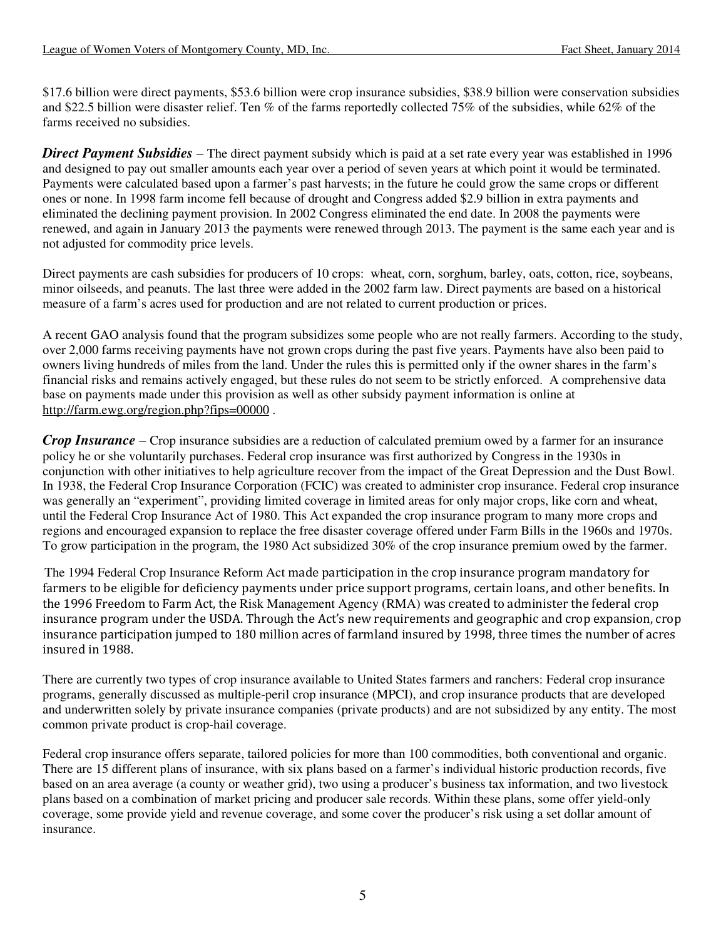\$17.6 billion were direct payments, \$53.6 billion were crop insurance subsidies, \$38.9 billion were conservation subsidies and \$22.5 billion were disaster relief. Ten % of the farms reportedly collected 75% of the subsidies, while 62% of the farms received no subsidies.

*Direct Payment Subsidies* – The direct payment subsidy which is paid at a set rate every year was established in 1996 and designed to pay out smaller amounts each year over a period of seven years at which point it would be terminated. Payments were calculated based upon a farmer's past harvests; in the future he could grow the same crops or different ones or none. In 1998 farm income fell because of drought and Congress added \$2.9 billion in extra payments and eliminated the declining payment provision. In 2002 Congress eliminated the end date. In 2008 the payments were renewed, and again in January 2013 the payments were renewed through 2013. The payment is the same each year and is not adjusted for commodity price levels.

Direct payments are cash subsidies for producers of 10 crops: wheat, corn, sorghum, barley, oats, cotton, rice, soybeans, minor oilseeds, and peanuts. The last three were added in the 2002 farm law. Direct payments are based on a historical measure of a farm's acres used for production and are not related to current production or prices.

A recent GAO analysis found that the program subsidizes some people who are not really farmers. According to the study, over 2,000 farms receiving payments have not grown crops during the past five years. Payments have also been paid to owners living hundreds of miles from the land. Under the rules this is permitted only if the owner shares in the farm's financial risks and remains actively engaged, but these rules do not seem to be strictly enforced. A comprehensive data base on payments made under this provision as well as other subsidy payment information is online at http://farm.ewg.org/region.php?fips=00000 .

*Crop Insurance* – Crop insurance subsidies are a reduction of calculated premium owed by a farmer for an insurance policy he or she voluntarily purchases. Federal crop insurance was first authorized by Congress in the 1930s in conjunction with other initiatives to help agriculture recover from the impact of the Great Depression and the Dust Bowl. In 1938, the Federal Crop Insurance Corporation (FCIC) was created to administer crop insurance. Federal crop insurance was generally an "experiment", providing limited coverage in limited areas for only major crops, like corn and wheat, until the Federal Crop Insurance Act of 1980. This Act expanded the crop insurance program to many more crops and regions and encouraged expansion to replace the free disaster coverage offered under Farm Bills in the 1960s and 1970s. To grow participation in the program, the 1980 Act subsidized 30% of the crop insurance premium owed by the farmer.

The 1994 Federal Crop Insurance Reform Act made participation in the crop insurance program mandatory for farmers to be eligible for deficiency payments under price support programs, certain loans, and other benefits. In the 1996 Freedom to Farm Act, the Risk Management Agency (RMA) was created to administer the federal crop insurance program under the USDA. Through the Act's new requirements and geographic and crop expansion, crop insurance participation jumped to 180 million acres of farmland insured by 1998, three times the number of acres insured in 1988.

There are currently two types of crop insurance available to United States farmers and ranchers: Federal crop insurance programs, generally discussed as multiple-peril crop insurance (MPCI), and crop insurance products that are developed and underwritten solely by private insurance companies (private products) and are not subsidized by any entity. The most common private product is crop-hail coverage.

Federal crop insurance offers separate, tailored policies for more than 100 commodities, both conventional and organic. There are 15 different plans of insurance, with six plans based on a farmer's individual historic production records, five based on an area average (a county or weather grid), two using a producer's business tax information, and two livestock plans based on a combination of market pricing and producer sale records. Within these plans, some offer yield-only coverage, some provide yield and revenue coverage, and some cover the producer's risk using a set dollar amount of insurance.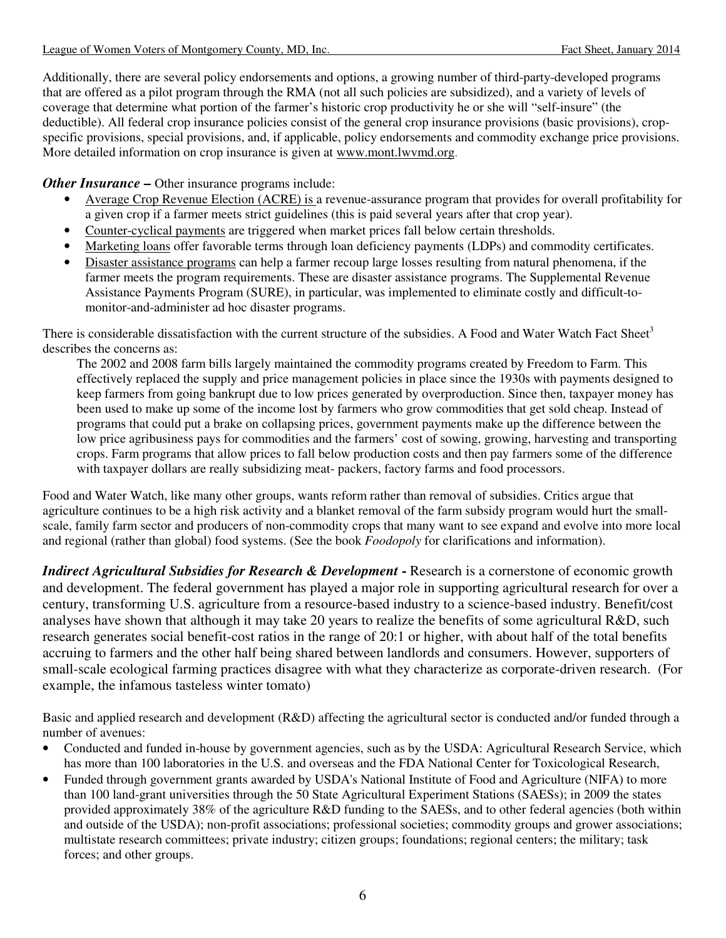Additionally, there are several policy endorsements and options, a growing number of third-party-developed programs that are offered as a pilot program through the RMA (not all such policies are subsidized), and a variety of levels of coverage that determine what portion of the farmer's historic crop productivity he or she will "self-insure" (the deductible). All federal crop insurance policies consist of the general crop insurance provisions (basic provisions), cropspecific provisions, special provisions, and, if applicable, policy endorsements and commodity exchange price provisions. More detailed information on crop insurance is given at www.mont.lwvmd.org.

*Other Insurance* – Other insurance programs include:

- Average Crop Revenue Election (ACRE) is a revenue-assurance program that provides for overall profitability for a given crop if a farmer meets strict guidelines (this is paid several years after that crop year).
- Counter-cyclical payments are triggered when market prices fall below certain thresholds.
- Marketing loans offer favorable terms through loan deficiency payments (LDPs) and commodity certificates.
- Disaster assistance programs can help a farmer recoup large losses resulting from natural phenomena, if the farmer meets the program requirements. These are disaster assistance programs. The Supplemental Revenue Assistance Payments Program (SURE), in particular, was implemented to eliminate costly and difficult-tomonitor-and-administer ad hoc disaster programs.

There is considerable dissatisfaction with the current structure of the subsidies. A Food and Water Watch Fact Sheet<sup>3</sup> describes the concerns as:

The 2002 and 2008 farm bills largely maintained the commodity programs created by Freedom to Farm. This effectively replaced the supply and price management policies in place since the 1930s with payments designed to keep farmers from going bankrupt due to low prices generated by overproduction. Since then, taxpayer money has been used to make up some of the income lost by farmers who grow commodities that get sold cheap. Instead of programs that could put a brake on collapsing prices, government payments make up the difference between the low price agribusiness pays for commodities and the farmers' cost of sowing, growing, harvesting and transporting crops. Farm programs that allow prices to fall below production costs and then pay farmers some of the difference with taxpayer dollars are really subsidizing meat- packers, factory farms and food processors.

Food and Water Watch, like many other groups, wants reform rather than removal of subsidies. Critics argue that agriculture continues to be a high risk activity and a blanket removal of the farm subsidy program would hurt the smallscale, family farm sector and producers of non-commodity crops that many want to see expand and evolve into more local and regional (rather than global) food systems. (See the book *Foodopoly* for clarifications and information).

*Indirect Agricultural Subsidies for Research & Development* - Research is a cornerstone of economic growth and development. The federal government has played a major role in supporting agricultural research for over a century, transforming U.S. agriculture from a resource-based industry to a science-based industry. Benefit/cost analyses have shown that although it may take 20 years to realize the benefits of some agricultural R&D, such research generates social benefit-cost ratios in the range of 20:1 or higher, with about half of the total benefits accruing to farmers and the other half being shared between landlords and consumers. However, supporters of small-scale ecological farming practices disagree with what they characterize as corporate-driven research. (For example, the infamous tasteless winter tomato)

Basic and applied research and development (R&D) affecting the agricultural sector is conducted and/or funded through a number of avenues:

- Conducted and funded in-house by government agencies, such as by the USDA: Agricultural Research Service, which has more than 100 laboratories in the U.S. and overseas and the FDA National Center for Toxicological Research,
- Funded through government grants awarded by USDA's National Institute of Food and Agriculture (NIFA) to more than 100 land-grant universities through the 50 State Agricultural Experiment Stations (SAESs); in 2009 the states provided approximately 38% of the agriculture R&D funding to the SAESs, and to other federal agencies (both within and outside of the USDA); non-profit associations; professional societies; commodity groups and grower associations; multistate research committees; private industry; citizen groups; foundations; regional centers; the military; task forces; and other groups.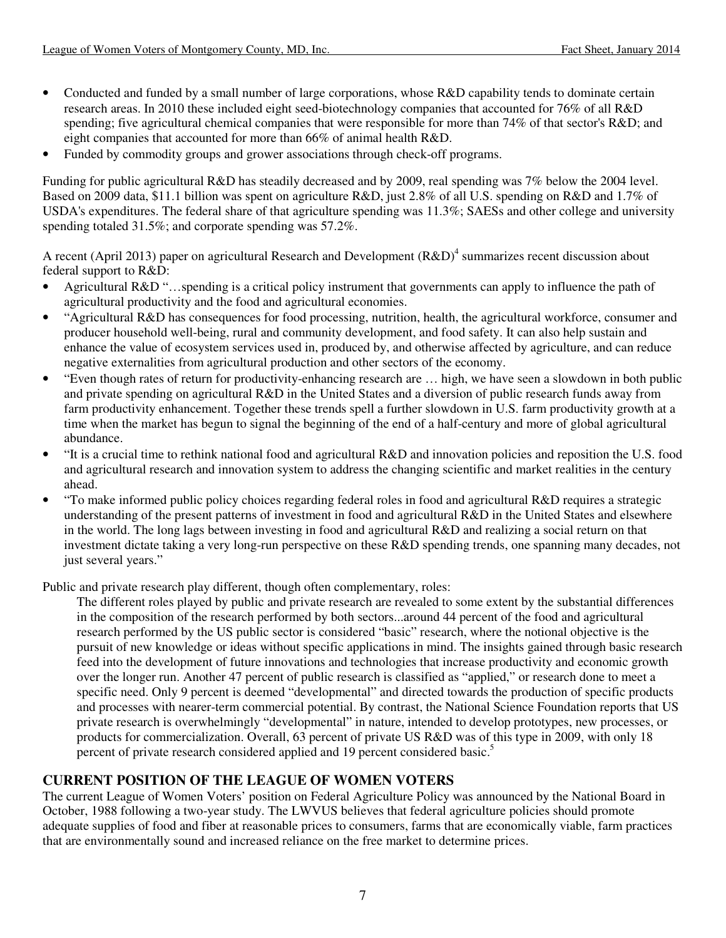- Conducted and funded by a small number of large corporations, whose R&D capability tends to dominate certain research areas. In 2010 these included eight seed-biotechnology companies that accounted for 76% of all R&D spending; five agricultural chemical companies that were responsible for more than 74% of that sector's R&D; and eight companies that accounted for more than 66% of animal health R&D.
- Funded by commodity groups and grower associations through check-off programs.

Funding for public agricultural R&D has steadily decreased and by 2009, real spending was 7% below the 2004 level. Based on 2009 data, \$11.1 billion was spent on agriculture R&D, just 2.8% of all U.S. spending on R&D and 1.7% of USDA's expenditures. The federal share of that agriculture spending was 11.3%; SAESs and other college and university spending totaled 31.5%; and corporate spending was 57.2%.

A recent (April 2013) paper on agricultural Research and Development  $(R&D)^4$  summarizes recent discussion about federal support to R&D:

- Agricultural R&D "…spending is a critical policy instrument that governments can apply to influence the path of agricultural productivity and the food and agricultural economies.
- "Agricultural R&D has consequences for food processing, nutrition, health, the agricultural workforce, consumer and producer household well-being, rural and community development, and food safety. It can also help sustain and enhance the value of ecosystem services used in, produced by, and otherwise affected by agriculture, and can reduce negative externalities from agricultural production and other sectors of the economy.
- "Even though rates of return for productivity-enhancing research are … high, we have seen a slowdown in both public and private spending on agricultural R&D in the United States and a diversion of public research funds away from farm productivity enhancement. Together these trends spell a further slowdown in U.S. farm productivity growth at a time when the market has begun to signal the beginning of the end of a half-century and more of global agricultural abundance.
- "It is a crucial time to rethink national food and agricultural R&D and innovation policies and reposition the U.S. food and agricultural research and innovation system to address the changing scientific and market realities in the century ahead.
- "To make informed public policy choices regarding federal roles in food and agricultural R&D requires a strategic understanding of the present patterns of investment in food and agricultural R&D in the United States and elsewhere in the world. The long lags between investing in food and agricultural R&D and realizing a social return on that investment dictate taking a very long-run perspective on these R&D spending trends, one spanning many decades, not just several years."

Public and private research play different, though often complementary, roles:

The different roles played by public and private research are revealed to some extent by the substantial differences in the composition of the research performed by both sectors...around 44 percent of the food and agricultural research performed by the US public sector is considered "basic" research, where the notional objective is the pursuit of new knowledge or ideas without specific applications in mind. The insights gained through basic research feed into the development of future innovations and technologies that increase productivity and economic growth over the longer run. Another 47 percent of public research is classified as "applied," or research done to meet a specific need. Only 9 percent is deemed "developmental" and directed towards the production of specific products and processes with nearer-term commercial potential. By contrast, the National Science Foundation reports that US private research is overwhelmingly "developmental" in nature, intended to develop prototypes, new processes, or products for commercialization. Overall, 63 percent of private US R&D was of this type in 2009, with only 18 percent of private research considered applied and 19 percent considered basic.<sup>5</sup>

# **CURRENT POSITION OF THE LEAGUE OF WOMEN VOTERS**

The current League of Women Voters' position on Federal Agriculture Policy was announced by the National Board in October, 1988 following a two-year study. The LWVUS believes that federal agriculture policies should promote adequate supplies of food and fiber at reasonable prices to consumers, farms that are economically viable, farm practices that are environmentally sound and increased reliance on the free market to determine prices.